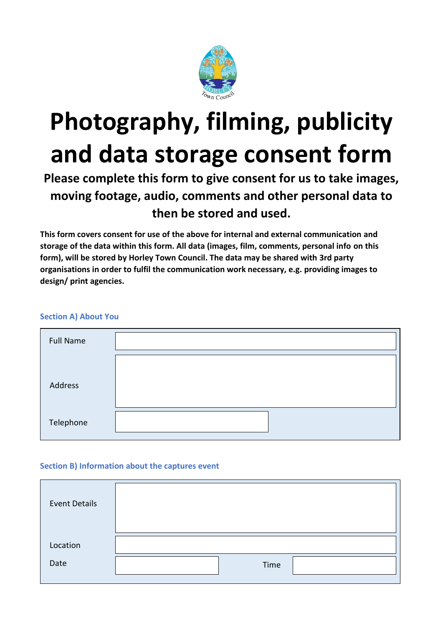

# **Photography, filming, publicity and data storage consent form**

# **Please complete this form to give consent for us to take images, moving footage, audio, comments and other personal data to then be stored and used.**

**This form covers consent for use of the above for internal and external communication and storage of the data within this form. All data (images, film, comments, personal info on this form), will be stored by Horley Town Council. The data may be shared with 3rd party organisations in order to fulfil the communication work necessary, e.g. providing images to design/ print agencies.**

# **Section A) About You**

| <b>Full Name</b> |  |
|------------------|--|
|                  |  |
| Address          |  |
|                  |  |
| Telephone        |  |

# **Section B) Information about the captures event**

| <b>Event Details</b> |      |  |
|----------------------|------|--|
| Location             |      |  |
| Date                 | Time |  |